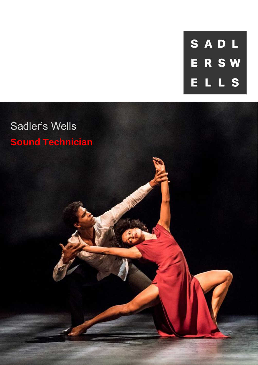SADL **ERSW** ELLS

# Sadler's Wells **Sound Technician**

**MARK**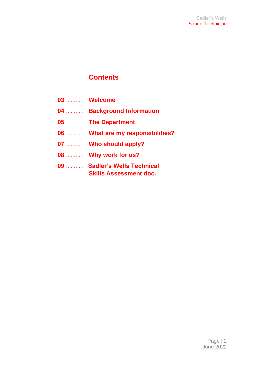### **Contents**

| 03  Welcome                                                   |
|---------------------------------------------------------------|
| 04  Background Information                                    |
| 05  The Department                                            |
| 06  What are my responsibilities?                             |
| 07  Who should apply?                                         |
| 08  Why work for us?                                          |
| 09  Sadler's Wells Technical<br><b>Skills Assessment doc.</b> |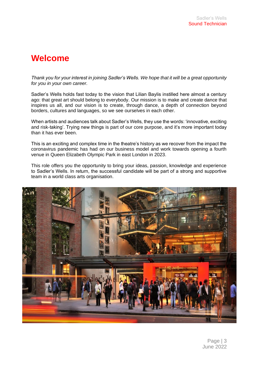# **Welcome**

*Thank you for your interest in joining Sadler's Wells. We hope that it will be a great opportunity for you in your own career.*

Sadler's Wells holds fast today to the vision that Lilian Baylis instilled here almost a century ago: that great art should belong to everybody. Our mission is to make and create dance that inspires us all, and our vision is to create, through dance, a depth of connection beyond borders, cultures and languages, so we see ourselves in each other.

When artists and audiences talk about Sadler's Wells, they use the words: 'innovative, exciting and risk-taking'. Trying new things is part of our core purpose, and it's more important today than it has ever been.

This is an exciting and complex time in the theatre's history as we recover from the impact the coronavirus pandemic has had on our business model and work towards opening a fourth venue in Queen Elizabeth Olympic Park in east London in 2023.

This role offers you the opportunity to bring your ideas, passion, knowledge and experience to Sadler's Wells. In return, the successful candidate will be part of a strong and supportive team in a world class arts organisation.

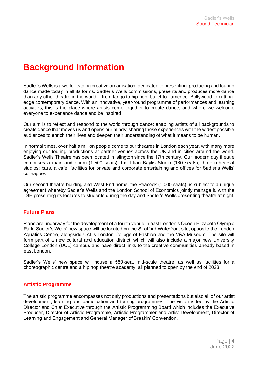# **Background Information**

Sadler's Wells is a world-leading creative organisation, dedicated to presenting, producing and touring dance made today in all its forms. Sadler's Wells commissions, presents and produces more dance than any other theatre in the world – from tango to hip hop, ballet to flamenco, Bollywood to cuttingedge contemporary dance. With an innovative, year-round programme of performances and learning activities, this is the place where artists come together to create dance, and where we welcome everyone to experience dance and be inspired.

Our aim is to reflect and respond to the world through dance: enabling artists of all backgrounds to create dance that moves us and opens our minds; sharing those experiences with the widest possible audiences to enrich their lives and deepen their understanding of what it means to be human.

In normal times, over half a million people come to our theatres in London each year, with many more enjoying our touring productions at partner venues across the UK and in cities around the world. Sadler's Wells Theatre has been located in Islington since the 17th century. Our modern day theatre comprises a main auditorium (1,500 seats); the Lilian Baylis Studio (180 seats); three rehearsal studios; bars, a café, facilities for private and corporate entertaining and offices for Sadler's Wells' colleagues.

Our second theatre building and West End home, the Peacock (1,000 seats), is subject to a unique agreement whereby Sadler's Wells and the London School of Economics jointly manage it, with the LSE presenting its lectures to students during the day and Sadler's Wells presenting theatre at night.

#### **Future Plans**

Plans are underway for the development of a fourth venue in east London's Queen Elizabeth Olympic Park. Sadler's Wells' new space will be located on the Stratford Waterfront site, opposite the London Aquatics Centre, alongside UAL's London College of Fashion and the V&A Museum. The site will form part of a new cultural and education district, which will also include a major new University College London (UCL) campus and have direct links to the creative communities already based in east London.

Sadler's Wells' new space will house a 550-seat mid-scale theatre, as well as facilities for a choreographic centre and a hip hop theatre academy, all planned to open by the end of 2023.

#### **Artistic Programme**

The artistic programme encompasses not only productions and presentations but also all of our artist development, learning and participation and touring programmes. The vision is led by the Artistic Director and Chief Executive through the Artistic Programming Board which includes the Executive Producer, Director of Artistic Programme, Artistic Programmer and Artist Development, Director of Learning and Engagement and General Manager of Breakin' Convention.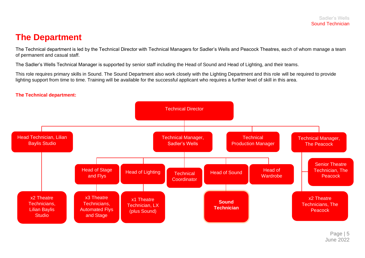### **The Department**

The Technical department is led by the Technical Director with Technical Managers for Sadler's Wells and Peacock Theatres, each of whom manage a team of permanent and casual staff.

The Sadler's Wells Technical Manager is supported by senior staff including the Head of Sound and Head of Lighting, and their teams.

This role requires primary skills in Sound. The Sound Department also work closely with the Lighting Department and this role will be required to provide lighting support from time to time. Training will be available for the successful applicant who requires a further level of skill in this area.



#### **The Technical department:**

Page | 5 June 2022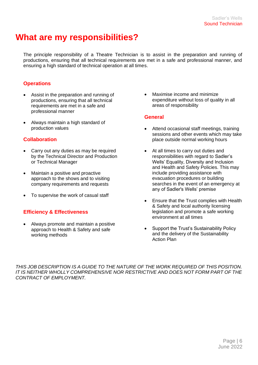# **What are my responsibilities?**

The principle responsibility of a Theatre Technician is to assist in the preparation and running of productions, ensuring that all technical requirements are met in a safe and professional manner, and ensuring a high standard of technical operation at all times.

#### **Operations**

- Assist in the preparation and running of productions, ensuring that all technical requirements are met in a safe and professional manner
- Always maintain a high standard of production values

#### **Collaboration**

- Carry out any duties as may be required by the Technical Director and Production or Technical Manager
- Maintain a positive and proactive approach to the shows and to visiting company requirements and requests
- To supervise the work of casual staff

#### **Efficiency & Effectiveness**

• Always promote and maintain a positive approach to Health & Safety and safe working methods

• Maximise income and minimize expenditure without loss of quality in all areas of responsibility

#### **General**

- Attend occasional staff meetings, training sessions and other events which may take place outside normal working hours
- At all times to carry out duties and responsibilities with regard to Sadler's Wells' Equality, Diversity and Inclusion and Health and Safety Policies. This may include providing assistance with evacuation procedures or building searches in the event of an emergency at any of Sadler's Wells' premise
- Ensure that the Trust complies with Health & Safety and local authority licensing legislation and promote a safe working environment at all times
- Support the Trust's Sustainability Policy and the delivery of the Sustainability Action Plan

*THIS JOB DESCRIPTION IS A GUIDE TO THE NATURE OF THE WORK REQUIRED OF THIS POSITION. IT IS NEITHER WHOLLY COMPREHENSIVE NOR RESTRICTIVE AND DOES NOT FORM PART OF THE CONTRACT OF EMPLOYMENT.*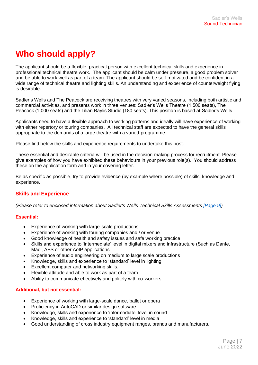# **Who should apply?**

The applicant should be a flexible, practical person with excellent technical skills and experience in professional technical theatre work. The applicant should be calm under pressure, a good problem solver and be able to work well as part of a team. The applicant should be self-motivated and be confident in a wide range of technical theatre and lighting skills. An understanding and experience of counterweight flying is desirable.

Sadler's Wells and The Peacock are receiving theatres with very varied seasons, including both artistic and commercial activities, and presents work in three venues: Sadler's Wells Theatre (1,500 seats), The Peacock (1,000 seats) and the Lilian Baylis Studio (180 seats). This position is based at Sadler's Wells.

Applicants need to have a flexible approach to working patterns and ideally will have experience of working with either repertory or touring companies. All technical staff are expected to have the general skills appropriate to the demands of a large theatre with a varied programme.

Please find below the skills and experience requirements to undertake this post.

These essential and desirable criteria will be used in the decision-making process for recruitment. Please give examples of how you have exhibited these behaviours in your previous role(s). You should address these on the application form and in your covering letter.

Be as specific as possible, try to provide evidence (by example where possible) of skills, knowledge and experience.

#### **Skills and Experience**

*(Please refer to enclosed information about Sadler's Wells Technical Skills Assessments [\[Page 9\]\)](#page-8-0)*

#### **Essential:**

- Experience of working with large-scale productions
- Experience of working with touring companies and / or venue
- Good knowledge of health and safety issues and safe working practice
- Skills and experience to 'intermediate' level in digital mixers and infrastructure (Such as Dante, Madi, AES or other AoIP applications
- Experience of audio engineering on medium to large scale productions
- Knowledge, skills and experience to 'standard' level in lighting
- Excellent computer and networking skills.
- Flexible attitude and able to work as part of a team
- Ability to communicate effectively and politely with co-workers

#### **Additional, but not essential:**

- Experience of working with large-scale dance, ballet or opera
- Proficiency in AutoCAD or similar design software
- Knowledge, skills and experience to 'intermediate' level in sound
- Knowledge, skills and experience to 'standard' level in media
- Good understanding of cross industry equipment ranges, brands and manufacturers.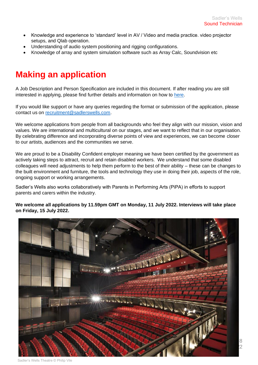- Knowledge and experience to 'standard' level in AV / Video and media practice. video projector setups, and Qlab operation.
- Understanding of audio system positioning and rigging configurations.
- Knowledge of array and system simulation software such as Array Calc, Soundvision etc

# **Making an application**

A Job Description and Person Specification are included in this document. If after reading you are still interested in applying, please find further details and information on how to [here.](https://sadlerswells.engageats.co.uk/ApplicationForm.aspx?enc=mEgrBL4XQK0+ld8aNkwYmN6JG5BJDZZfgOIO4+DBT4oI0jhIAX6pstlWErtrZOVtBxHwkXpQSeR1hGBO9rhT/S5xd73qwHws1o2esRu/gJ8JS+lbmP5bAx3gMWrHFKkKMN+bOz7etz510Z+wuXIrrQ==)

If you would like support or have any queries regarding the format or submission of the application, please contact us on [recruitment@sadlerswells.com.](mailto:recruitment@sadlerswells.com)

We welcome applications from people from all backgrounds who feel they align with our mission, vision and values. We are international and multicultural on our stages, and we want to reflect that in our organisation. By celebrating difference and incorporating diverse points of view and experiences, we can become closer to our artists, audiences and the communities we serve.

We are proud to be a Disability Confident employer meaning we have been certified by the government as actively taking steps to attract, recruit and retain disabled workers. We understand that some disabled colleagues will need adjustments to help them perform to the best of their ability – these can be changes to the built environment and furniture, the tools and technology they use in doing their job, aspects of the role, ongoing support or working arrangements.

Sadler's Wells also works collaboratively with Parents in Performing Arts (PiPA) in efforts to support parents and carers within the industry.

#### **We welcome all applications by 11.59pm GMT on Monday, 11 July 2022. Interviews will take place on Friday, 15 July 2022.**



Sadler's Wells Theatre © Philip Vile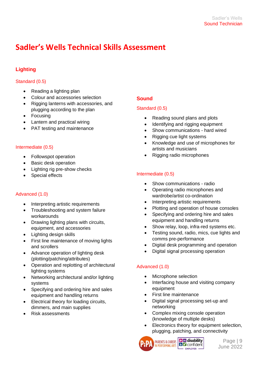# <span id="page-8-0"></span>**Sadler's Wells Technical Skills Assessment**

#### **Lighting**

#### Standard (0.5)

- Reading a lighting plan
- Colour and accessories selection
- Rigging lanterns with accessories, and plugging according to the plan
- Focusing
- Lantern and practical wiring
- PAT testing and maintenance

#### Intermediate (0.5)

- Followspot operation
- Basic desk operation
- Lighting rig pre-show checks
- Special effects

#### Advanced (1.0)

- Interpreting artistic requirements
- Troubleshooting and system failure workarounds
- Drawing lighting plans with circuits, equipment, and accessories
- Lighting design skills
- First line maintenance of moving lights and scrollers
- Advance operation of lighting desk (plotting/patching/attributes)
- Operation and replotting of architectural lighting systems
- Networking architectural and/or lighting systems
- Specifying and ordering hire and sales equipment and handling returns
- Electrical theory for loading circuits, dimmers, and main supplies
- Risk assessments

#### **Sound**

#### Standard (0.5)

- Reading sound plans and plots
- Identifying and rigging equipment
- Show communications hard wired
- Rigging cue light systems
- Knowledge and use of microphones for artists and musicians
- Rigging radio microphones

#### Intermediate (0.5)

- Show communications radio
- Operating radio microphones and wardrobe/artist co-ordination
- Interpreting artistic requirements
- Plotting and operation of house consoles
- Specifying and ordering hire and sales equipment and handling returns
- Show relay, loop, infra-red systems etc.
- Testing sound, radio, mics, cue lights and comms pre-performance
- Digital desk programming and operation
- Digital signal processing operation

#### Advanced (1.0)

- Microphone selection
- Interfacing house and visiting company equipment
- First line maintenance
- Digital signal processing set-up and networking
- Complex mixing console operation (knowledge of multiple desks)
- Electronics theory for equipment selection, plugging, patching, and connectivity



**PARENTS & CARERS B CARERS G CARENTS CARERS EMPLOYER**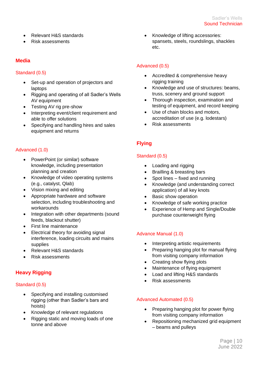- Relevant H&S standards
- Risk assessments

#### **Media**

#### Standard (0.5)

- Set-up and operation of projectors and laptops
- Rigging and operating of all Sadler's Wells AV equipment
- Testing AV rig pre-show
- Interpreting event/client requirement and able to offer solutions
- Specifying and handling hires and sales equipment and returns

#### Advanced (1.0)

- PowerPoint (or similar) software knowledge, including presentation planning and creation
- Knowledge of video operating systems (e.g., catalyst, Qlab)
- Vision mixing and editing
- Appropriate hardware and software selection, including troubleshooting and workarounds
- Integration with other departments (sound feeds, blackout shutter)
- First line maintenance
- Electrical theory for avoiding signal interference, loading circuits and mains supplies
- Relevant H&S standards
- Risk assessments

#### **Heavy Rigging**

#### Standard (0.5)

- Specifying and installing customised rigging (other than Sadler's bars and hoists)
- Knowledge of relevant regulations
- Rigging static and moving loads of one tonne and above

• Knowledge of lifting accessories: spansets, steels, roundslings, shackles etc.

#### Advanced (0.5)

- Accredited & comprehensive heavy rigging training
- Knowledge and use of structures: beams, truss, scenery and ground support
- Thorough inspection, examination and testing of equipment, and record keeping
- Use of chain blocks and motors. accreditation of use (e.g. lodestars)
- Risk assessments

#### **Flying**

#### Standard (0.5)

- Loading and rigging
- Brailling & breasting bars
- Spot lines fixed and running
- Knowledge (and understanding correct application) of all key knots
- Basic show operation
- Knowledge of safe working practice
- Experience of Hemp and Single/Double purchase counterweight flying

#### Advance Manual (1.0)

- Interpreting artistic requirements
- Preparing hanging plot for manual flying from visiting company information
- Creating show flying plots
- Maintenance of flying equipment
- Load and lifting H&S standards
- Risk assessments

#### Advanced Automated (0.5)

- Preparing hanging plot for power flying from visiting company information
- Repositioning mechanized grid equipment – beams and pulleys